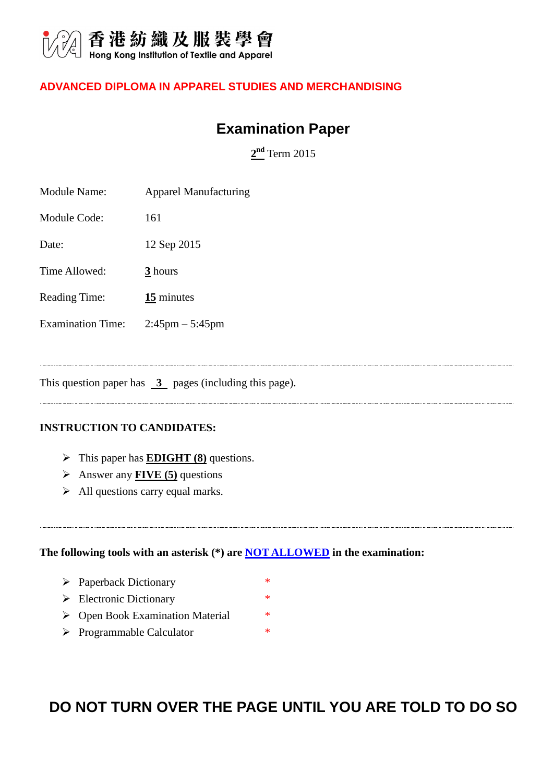

#### **ADVANCED DIPLOMA IN APPAREL STUDIES AND MERCHANDISING**

#### **Examination Paper**

**2 nd** Term 2015

| <b>Module Name:</b>      | <b>Apparel Manufacturing</b>      |
|--------------------------|-----------------------------------|
| Module Code:             | 161                               |
| Date:                    | 12 Sep 2015                       |
| Time Allowed:            | $\frac{3}{2}$ hours               |
| Reading Time:            | 15 minutes                        |
| <b>Examination Time:</b> | $2:45 \text{pm} - 5:45 \text{pm}$ |
|                          |                                   |
|                          |                                   |

This question paper has  $\overline{3}$  pages (including this page).

#### **INSTRUCTION TO CANDIDATES:**

- > This paper has **EDIGHT (8)** questions.
- Answer any **FIVE (5)** questions
- $\triangleright$  All questions carry equal marks.

**The following tools with an asterisk (\*) are NOT ALLOWED in the examination:** 

- > Paperback Dictionary \*
- $\triangleright$  Electronic Dictionary \*
- ▶ Open Book Examination Material \*
- > Programmable Calculator \*

# **DO NOT TURN OVER THE PAGE UNTIL YOU ARE TOLD TO DO SO**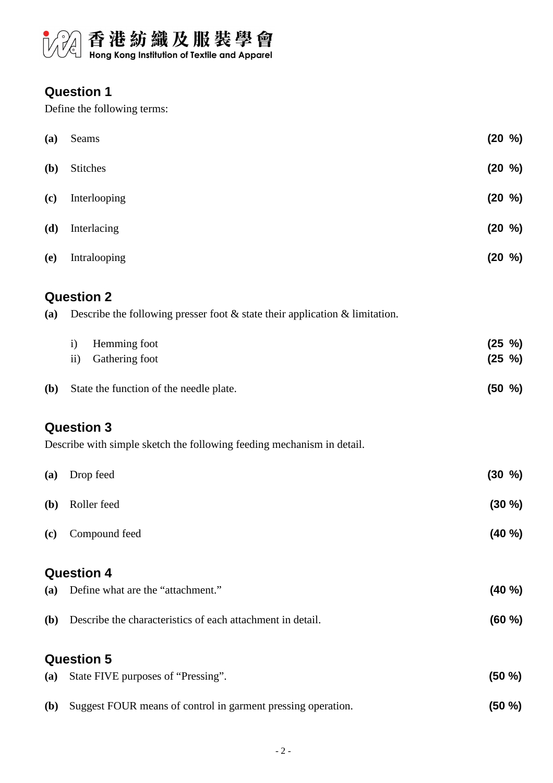

## **Question 1**

Define the following terms:

| (a)          | Seams                                                                             | $(20 \frac{9}{6})$ |
|--------------|-----------------------------------------------------------------------------------|--------------------|
| <b>(b)</b>   | Stitches                                                                          | $(20 \frac{9}{6})$ |
| (c)          | Interlooping                                                                      | $(20 \frac{9}{6})$ |
| (d)          | Interlacing                                                                       | $(20 \frac{9}{6})$ |
| (e)          | Intralooping                                                                      | $(20 \frac{9}{6})$ |
|              | <b>Question 2</b>                                                                 |                    |
| (a)          | Describe the following presser foot $\&$ state their application $\&$ limitation. |                    |
|              | Hemming foot<br>$\mathbf{i}$                                                      | $(25 \frac{9}{6})$ |
|              | Gathering foot<br>$\mathbf{ii}$                                                   | $(25 \frac{9}{6})$ |
| <b>(b)</b>   | State the function of the needle plate.                                           | $(50 \, %)$        |
|              | <b>Question 3</b>                                                                 |                    |
|              | Describe with simple sketch the following feeding mechanism in detail.            |                    |
| (a)          | Drop feed                                                                         | $(30 \, %)$        |
| ( <b>b</b> ) | Roller feed                                                                       | (30 %)             |
| (c)          | Compound feed                                                                     | (40 %)             |
|              | <b>Question 4</b>                                                                 |                    |
| (a)          | Define what are the "attachment."                                                 | (40 %)             |
| ( <b>b</b> ) | Describe the characteristics of each attachment in detail.                        | (60 %)             |
|              | <b>Question 5</b>                                                                 |                    |
| (a)          | State FIVE purposes of "Pressing".                                                | $(50 \%)$          |
| <b>(b)</b>   | Suggest FOUR means of control in garment pressing operation.                      | $(50 \%)$          |